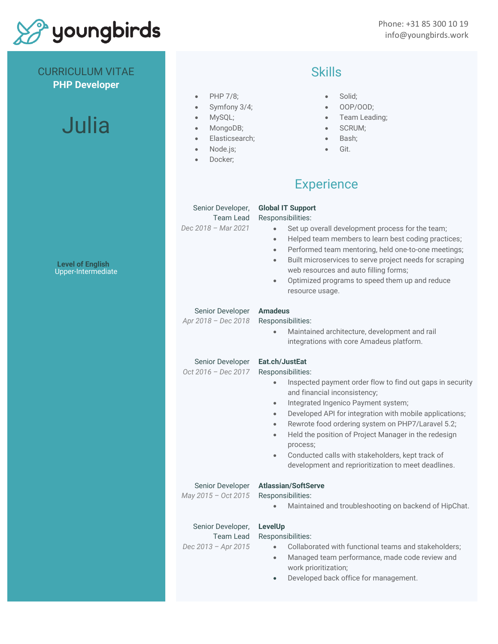

CURRICULUM VITAE **PHP Developer**

Phone: +31 85 300 10 19 info@youngbirds.work

|               |  | $into@$ youngbirds.w |
|---------------|--|----------------------|
| <b>Skills</b> |  |                      |

- PHP 7/8;
- Symfony 3/4;
- MySQL;
- MongoDB;
- Elasticsearch;
- Node.js;
- Docker;

## • Solid;

- OOP/OOD;
- Team Leading;
- SCRUM;
- Bash;
- Git.

## **Experience**

| Senior Developer,<br>Team Lead<br>Dec 2018 - Mar 2021 | <b>Global IT Support</b><br>Responsibilities:<br>Set up overall development process for the team;<br>$\bullet$<br>Helped team members to learn best coding practices;<br>$\bullet$<br>Performed team mentoring, held one-to-one meetings;<br>$\bullet$<br>Built microservices to serve project needs for scraping<br>$\bullet$<br>web resources and auto filling forms;<br>Optimized programs to speed them up and reduce<br>$\bullet$<br>resource usage.                                                                                            |
|-------------------------------------------------------|------------------------------------------------------------------------------------------------------------------------------------------------------------------------------------------------------------------------------------------------------------------------------------------------------------------------------------------------------------------------------------------------------------------------------------------------------------------------------------------------------------------------------------------------------|
| Senior Developer<br>Apr 2018 - Dec 2018               | <b>Amadeus</b><br>Responsibilities:<br>Maintained architecture, development and rail<br>$\bullet$<br>integrations with core Amadeus platform.                                                                                                                                                                                                                                                                                                                                                                                                        |
| Senior Developer<br>Oct 2016 - Dec 2017               | Eat.ch/JustEat<br>Responsibilities:<br>Inspected payment order flow to find out gaps in security<br>$\bullet$<br>and financial inconsistency;<br>Integrated Ingenico Payment system;<br>$\bullet$<br>Developed API for integration with mobile applications;<br>$\bullet$<br>Rewrote food ordering system on PHP7/Laravel 5.2;<br>$\bullet$<br>Held the position of Project Manager in the redesign<br>$\bullet$<br>process;<br>Conducted calls with stakeholders, kept track of<br>$\bullet$<br>development and reprioritization to meet deadlines. |
| Senior Developer<br>May 2015 - Oct 2015               | <b>Atlassian/SoftServe</b><br>Responsibilities:<br>Maintained and troubleshooting on backend of HipChat.                                                                                                                                                                                                                                                                                                                                                                                                                                             |
| Senior Developer,<br>Team Lead<br>Dec 2013 - Apr 2015 | LevelUp<br>Responsibilities:<br>Collaborated with functional teams and stakeholders;<br>$\bullet$<br>Managed team performance, made code review and<br>$\bullet$<br>work prioritization;<br>Developed back office for management.<br>$\bullet$                                                                                                                                                                                                                                                                                                       |

Julia

**Level of English** Upper-Intermediate